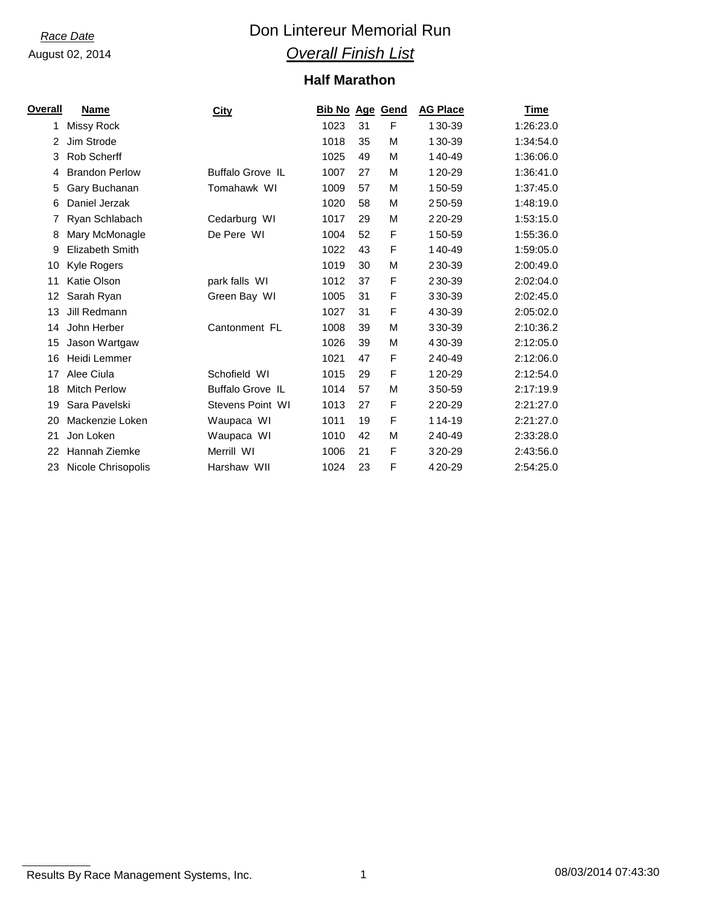## *Race Date* **Con Lintereur Memorial Run** *Overall Finish List*

## **Half Marathon**

| Overall | <b>Name</b>            | <b>City</b>             | <b>Bib No Age Gend</b> |    |   | <b>AG Place</b> | <b>Time</b> |
|---------|------------------------|-------------------------|------------------------|----|---|-----------------|-------------|
| 1       | Missy Rock             |                         | 1023                   | 31 | F | 130-39          | 1:26:23.0   |
| 2       | Jim Strode             |                         | 1018                   | 35 | M | 130-39          | 1:34:54.0   |
| 3       | <b>Rob Scherff</b>     |                         | 1025                   | 49 | М | 140-49          | 1:36:06.0   |
| 4       | <b>Brandon Perlow</b>  | <b>Buffalo Grove IL</b> | 1007                   | 27 | м | 120-29          | 1:36:41.0   |
| 5       | Gary Buchanan          | Tomahawk WI             | 1009                   | 57 | м | 150-59          | 1:37:45.0   |
| 6       | Daniel Jerzak          |                         | 1020                   | 58 | M | 250-59          | 1:48:19.0   |
|         | Ryan Schlabach         | Cedarburg WI            | 1017                   | 29 | М | 220-29          | 1:53:15.0   |
| 8       | Mary McMonagle         | De Pere WI              | 1004                   | 52 | F | 150-59          | 1:55:36.0   |
| 9       | <b>Elizabeth Smith</b> |                         | 1022                   | 43 | F | 140-49          | 1:59:05.0   |
| 10      | Kyle Rogers            |                         | 1019                   | 30 | М | 230-39          | 2:00:49.0   |
| 11      | Katie Olson            | park falls WI           | 1012                   | 37 | F | 230-39          | 2:02:04.0   |
| 12      | Sarah Ryan             | Green Bay WI            | 1005                   | 31 | F | 330-39          | 2:02:45.0   |
| 13      | Jill Redmann           |                         | 1027                   | 31 | F | 430-39          | 2:05:02.0   |
| 14      | John Herber            | Cantonment FL           | 1008                   | 39 | M | 330-39          | 2:10:36.2   |
| 15      | Jason Wartgaw          |                         | 1026                   | 39 | М | 430-39          | 2:12:05.0   |
| 16      | Heidi Lemmer           |                         | 1021                   | 47 | F | 240-49          | 2:12:06.0   |
| 17      | Alee Ciula             | Schofield WI            | 1015                   | 29 | F | 120-29          | 2:12:54.0   |
| 18      | <b>Mitch Perlow</b>    | <b>Buffalo Grove IL</b> | 1014                   | 57 | M | 350-59          | 2:17:19.9   |
| 19      | Sara Pavelski          | Stevens Point WI        | 1013                   | 27 | F | 220-29          | 2:21:27.0   |
| 20      | Mackenzie Loken        | Waupaca WI              | 1011                   | 19 | F | 114-19          | 2:21:27.0   |
| 21      | Jon Loken              | Waupaca WI              | 1010                   | 42 | м | 240-49          | 2:33:28.0   |
| 22      | Hannah Ziemke          | Merrill WI              | 1006                   | 21 | F | 320-29          | 2:43:56.0   |
| 23      | Nicole Chrisopolis     | Harshaw WII             | 1024                   | 23 | F | 420-29          | 2:54:25.0   |

Results By Race Management Systems, Inc. 1 08/03/2014 07:43:30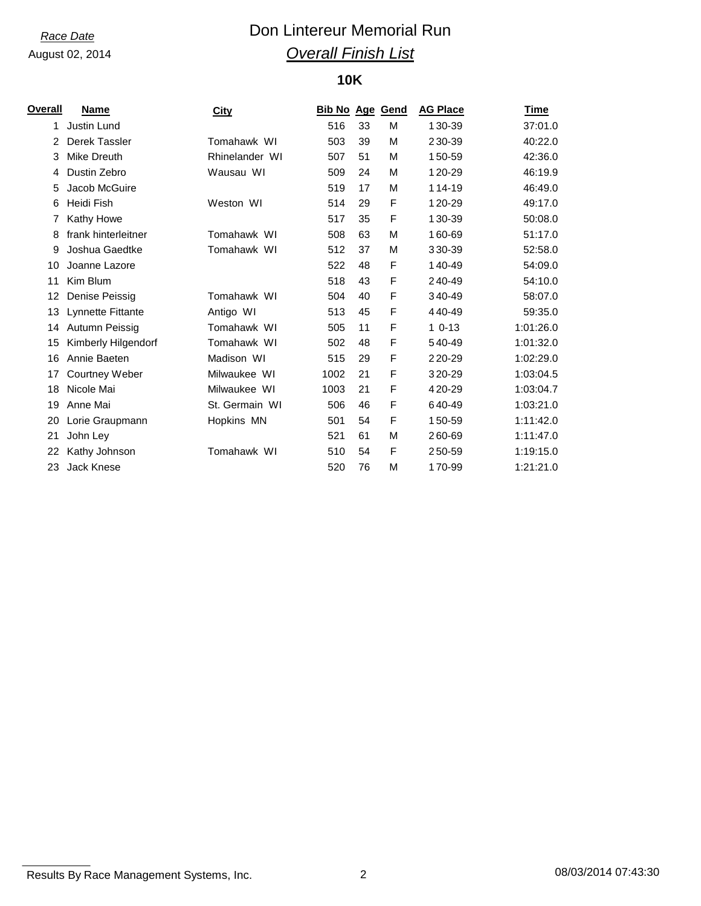# *Race Date* **Con Lintereur Memorial Run** *Overall Finish List*

## **10K**

| Overall | <b>Name</b>         | <b>City</b>    | <b>Bib No Age Gend</b> |    |   | <b>AG Place</b> | Time      |
|---------|---------------------|----------------|------------------------|----|---|-----------------|-----------|
| 1       | <b>Justin Lund</b>  |                | 516                    | 33 | м | 130-39          | 37:01.0   |
| 2       | Derek Tassler       | Tomahawk WI    | 503                    | 39 | M | 230-39          | 40:22.0   |
| 3       | Mike Dreuth         | Rhinelander WI | 507                    | 51 | м | 150-59          | 42:36.0   |
| 4       | Dustin Zebro        | Wausau WI      | 509                    | 24 | м | 120-29          | 46:19.9   |
| 5       | Jacob McGuire       |                | 519                    | 17 | м | 114-19          | 46:49.0   |
| 6       | Heidi Fish          | Weston WI      | 514                    | 29 | F | 120-29          | 49:17.0   |
|         | Kathy Howe          |                | 517                    | 35 | F | 130-39          | 50:08.0   |
| 8       | frank hinterleitner | Tomahawk WI    | 508                    | 63 | М | 160-69          | 51:17.0   |
| 9       | Joshua Gaedtke      | Tomahawk WI    | 512                    | 37 | М | 330-39          | 52:58.0   |
| 10      | Joanne Lazore       |                | 522                    | 48 | F | 140-49          | 54:09.0   |
| 11      | Kim Blum            |                | 518                    | 43 | F | 240-49          | 54:10.0   |
| 12      | Denise Peissig      | Tomahawk WI    | 504                    | 40 | F | 340-49          | 58:07.0   |
| 13      | Lynnette Fittante   | Antigo WI      | 513                    | 45 | F | 440-49          | 59:35.0   |
| 14      | Autumn Peissig      | Tomahawk WI    | 505                    | 11 | F | $10-13$         | 1:01:26.0 |
| 15      | Kimberly Hilgendorf | Tomahawk WI    | 502                    | 48 | F | 540-49          | 1:01:32.0 |
| 16      | Annie Baeten        | Madison WI     | 515                    | 29 | F | 220-29          | 1:02:29.0 |
| 17      | Courtney Weber      | Milwaukee WI   | 1002                   | 21 | F | 320-29          | 1:03:04.5 |
| 18      | Nicole Mai          | Milwaukee WI   | 1003                   | 21 | F | 420-29          | 1:03:04.7 |
| 19      | Anne Mai            | St. Germain WI | 506                    | 46 | F | 640-49          | 1:03:21.0 |
| 20      | Lorie Graupmann     | Hopkins MN     | 501                    | 54 | F | 150-59          | 1:11:42.0 |
| 21      | John Ley            |                | 521                    | 61 | М | 260-69          | 1:11:47.0 |
| 22      | Kathy Johnson       | Tomahawk WI    | 510                    | 54 | F | 250-59          | 1:19:15.0 |
| 23      | Jack Knese          |                | 520                    | 76 | М | 170-99          | 1:21:21.0 |

Results By Race Management Systems, Inc. 2 2 2 2 08/03/2014 07:43:30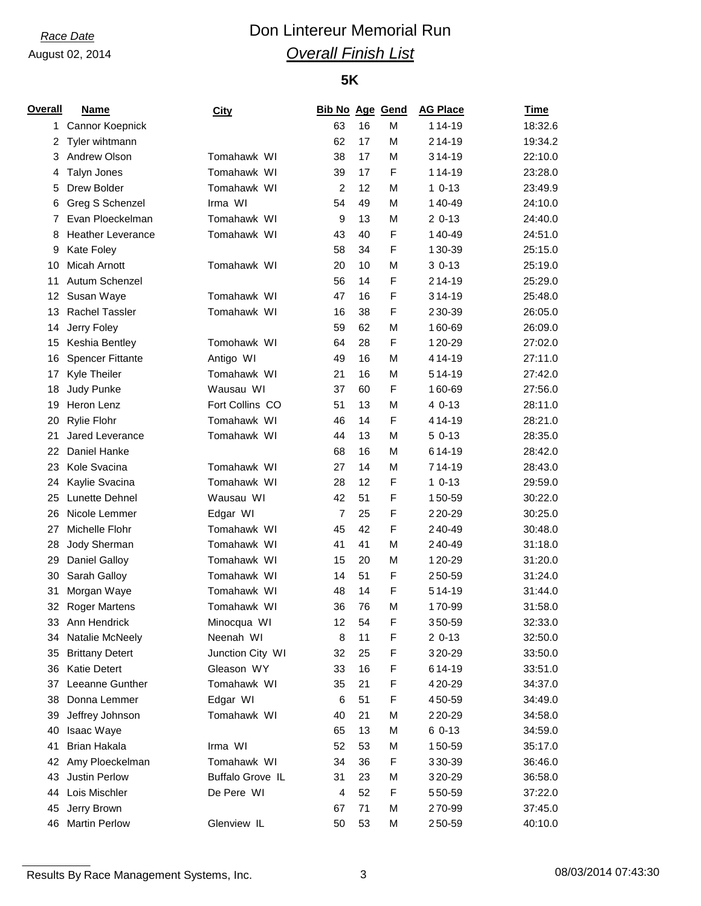# *Race Date* **Con Lintereur Memorial Run** *Overall Finish List*

### **5K**

| <b>Overall</b> | <b>Name</b>              | <b>City</b>      | <b>Bib No Age Gend</b> |    |   | <b>AG Place</b> | Time    |
|----------------|--------------------------|------------------|------------------------|----|---|-----------------|---------|
| 1              | Cannor Koepnick          |                  | 63                     | 16 | M | 114-19          | 18:32.6 |
| 2              | Tyler wihtmann           |                  | 62                     | 17 | М | 214-19          | 19:34.2 |
| 3              | Andrew Olson             | Tomahawk WI      | 38                     | 17 | М | 314-19          | 22:10.0 |
| 4              | <b>Talyn Jones</b>       | Tomahawk WI      | 39                     | 17 | F | 114-19          | 23:28.0 |
| 5              | Drew Bolder              | Tomahawk WI      | $\overline{c}$         | 12 | М | $10-13$         | 23:49.9 |
| 6              | Greg S Schenzel          | Irma WI          | 54                     | 49 | М | 140-49          | 24:10.0 |
| 7              | Evan Ploeckelman         | Tomahawk WI      | 9                      | 13 | М | $20-13$         | 24:40.0 |
| 8              | <b>Heather Leverance</b> | Tomahawk WI      | 43                     | 40 | F | 140-49          | 24:51.0 |
| 9              | Kate Foley               |                  | 58                     | 34 | F | 130-39          | 25:15.0 |
| 10             | Micah Arnott             | Tomahawk WI      | 20                     | 10 | М | $30-13$         | 25:19.0 |
| 11             | Autum Schenzel           |                  | 56                     | 14 | F | 214-19          | 25:29.0 |
| 12             | Susan Waye               | Tomahawk WI      | 47                     | 16 | F | 314-19          | 25:48.0 |
| 13             | <b>Rachel Tassler</b>    | Tomahawk WI      | 16                     | 38 | F | 230-39          | 26:05.0 |
| 14             | Jerry Foley              |                  | 59                     | 62 | M | 160-69          | 26:09.0 |
| 15             | Keshia Bentley           | Tomohawk WI      | 64                     | 28 | F | 120-29          | 27:02.0 |
| 16             | <b>Spencer Fittante</b>  | Antigo WI        | 49                     | 16 | М | 414-19          | 27:11.0 |
| 17             | Kyle Theiler             | Tomahawk WI      | 21                     | 16 | М | 514-19          | 27:42.0 |
| 18             | Judy Punke               | Wausau WI        | 37                     | 60 | F | 160-69          | 27:56.0 |
| 19             | Heron Lenz               | Fort Collins CO  | 51                     | 13 | М | 4 0-13          | 28:11.0 |
| 20             | <b>Rylie Flohr</b>       | Tomahawk WI      | 46                     | 14 | F | 414-19          | 28:21.0 |
| 21             | <b>Jared Leverance</b>   | Tomahawk WI      | 44                     | 13 | M | $50-13$         | 28:35.0 |
| 22             | Daniel Hanke             |                  | 68                     | 16 | М | 614-19          | 28:42.0 |
| 23             | Kole Svacina             | Tomahawk WI      | 27                     | 14 | М | 714-19          | 28:43.0 |
| 24             | Kaylie Svacina           | Tomahawk WI      | 28                     | 12 | F | $10-13$         | 29:59.0 |
| 25             | <b>Lunette Dehnel</b>    | Wausau WI        | 42                     | 51 | F | 150-59          | 30:22.0 |
| 26             | Nicole Lemmer            | Edgar WI         | $\overline{7}$         | 25 | F | 220-29          | 30:25.0 |
| 27             | Michelle Flohr           | Tomahawk WI      | 45                     | 42 | F | 240-49          | 30:48.0 |
| 28             | Jody Sherman             | Tomahawk WI      | 41                     | 41 | М | 240-49          | 31:18.0 |
| 29             | <b>Daniel Galloy</b>     | Tomahawk WI      | 15                     | 20 | М | 120-29          | 31:20.0 |
| 30             | Sarah Galloy             | Tomahawk WI      | 14                     | 51 | F | 250-59          | 31:24.0 |
| 31             | Morgan Waye              | Tomahawk WI      | 48                     | 14 | F | 514-19          | 31:44.0 |
| 32             | <b>Roger Martens</b>     | Tomahawk WI      | 36                     | 76 | М | 170-99          | 31:58.0 |
| 33             | Ann Hendrick             | Minocqua WI      | 12                     | 54 | F | 350-59          | 32:33.0 |
| 34             | Natalie McNeely          | Neenah WI        | 8                      | 11 | F | $20-13$         | 32:50.0 |
| 35             | <b>Brittany Detert</b>   | Junction City WI | 32                     | 25 | F | 320-29          | 33:50.0 |
| 36             | <b>Katie Detert</b>      | Gleason WY       | 33                     | 16 | F | 614-19          | 33:51.0 |
| 37             | Leeanne Gunther          | Tomahawk WI      | 35                     | 21 | F | 420-29          | 34:37.0 |
| 38             | Donna Lemmer             | Edgar WI         | 6                      | 51 | F | 450-59          | 34:49.0 |
| 39             | Jeffrey Johnson          | Tomahawk WI      | 40                     | 21 | М | 220-29          | 34:58.0 |
| 40             | Isaac Waye               |                  | 65                     | 13 | М | $60-13$         | 34:59.0 |
| 41             | Brian Hakala             | Irma WI          | 52                     | 53 | М | 150-59          | 35:17.0 |
| 42             | Amy Ploeckelman          | Tomahawk WI      | 34                     | 36 | F | 330-39          | 36:46.0 |
| 43             | Justin Perlow            | Buffalo Grove IL | 31                     | 23 | М | 320-29          | 36:58.0 |
| 44             | Lois Mischler            | De Pere WI       | 4                      | 52 | F | 550-59          | 37:22.0 |
| 45             | Jerry Brown              |                  | 67                     | 71 | М | 270-99          | 37:45.0 |
| 46             | Martin Perlow            | Glenview IL      | 50                     | 53 | М | 250-59          | 40:10.0 |

Results By Race Management Systems, Inc. 2008/03/2014 07:43:30